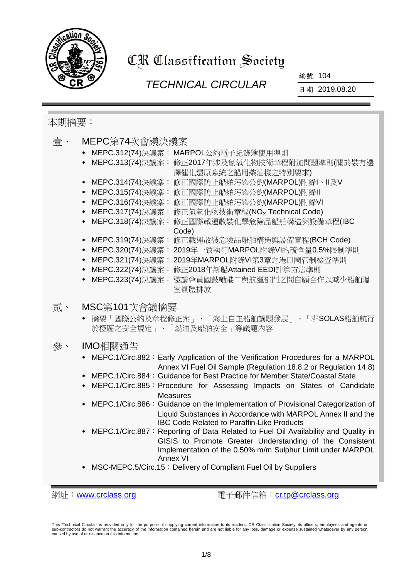

# CR Classification Society

# *TECHNICAL CIRCULAR*

編號 104

日期 2019.08.20

# 本期摘要:

| 壹、 | MEPC第74次會議決議案<br>MEPC.312(74)決議案: MARPOL公約電子紀錄簿使用準則<br>MEPC.313(74)決議案: 修正2017年涉及氮氧化物技術章程附加問題準則(關於裝有選<br>擇催化還原系統之船用柴油機之特別要求)<br>MEPC.314(74)決議案:<br>修正國際防止船舶污染公約(MARPOL)附錄Ⅰ、Ⅱ及Ⅴ<br>修正國際防止船舶污染公約(MARPOL)附錄II<br>MEPC.315(74)決議案:<br>MEPC.316(74)決議案:<br>修正國際防止船舶污染公約(MARPOL)附錄VI<br>修正氮氧化物技術章程(NO <sub>x</sub> Technical Code)<br>MEPC.317(74)決議案:                                                                                                                                                                                                                                                                                                                                                                                                                                    |
|----|--------------------------------------------------------------------------------------------------------------------------------------------------------------------------------------------------------------------------------------------------------------------------------------------------------------------------------------------------------------------------------------------------------------------------------------------------------------------------------------------------------------------------------------------------------------------------------------------------------------------------------------------------------------------------------------------------------------------------------------------------------------------------------------|
|    | 修正國際載運散裝化學危險品船舶構造與設備章程(IBC<br>MEPC.318(74)決議案:<br>$\bullet$<br>Code)<br>MEPC.319(74)決議案: 修正載運散裝危險品船舶構造與設備章程(BCH Code)<br>$\bullet$                                                                                                                                                                                                                                                                                                                                                                                                                                                                                                                                                                                                                                                   |
|    | 2019年一致執行MARPOL附錄VI的硫含量0.5%限制準則<br>MEPC.320(74)決議案:<br>$\bullet$<br>MEPC.321(74)決議案:<br>2019年MARPOL附錄VI第3章之港口國管制檢查準則<br>MEPC.322(74)決議案:<br>修正2018年新船Attained EEDI計算方法準則<br>MEPC.323(74)決議案:<br>邀請會員國鼓勵港口與航運部門之間自願合作以減少船舶溫<br>室氣體排放                                                                                                                                                                                                                                                                                                                                                                                                                                                                                                                                                  |
| 貳、 | MSC第101次會議摘要<br>摘要「國際公約及章程修正案」、「海上自主船舶議題發展」、「非SOLAS船舶航行<br>於極區之安全規定」、「燃油及船舶安全」等議題內容                                                                                                                                                                                                                                                                                                                                                                                                                                                                                                                                                                                                                                                                                                  |
| 參、 | IMO相關通告<br>MEPC.1/Circ.882: Early Application of the Verification Procedures for a MARPOL<br>Annex VI Fuel Oil Sample (Regulation 18.8.2 or Regulation 14.8)<br>MEPC.1/Circ.884: Guidance for Best Practice for Member State/Coastal State<br>MEPC.1/Circ.885: Procedure for Assessing Impacts on States of Candidate<br><b>Measures</b><br>MEPC.1/Circ.886: Guidance on the Implementation of Provisional Categorization of<br>Liquid Substances in Accordance with MARPOL Annex II and the<br><b>IBC Code Related to Paraffin-Like Products</b><br>MEPC.1/Circ.887: Reporting of Data Related to Fuel Oil Availability and Quality in<br>GISIS to Promote Greater Understanding of the Consistent<br>Implementation of the 0.50% m/m Sulphur Limit under MARPOL<br><b>Annex VI</b> |
|    | MSC-MEPC.5/Circ.15: Delivery of Compliant Fuel Oil by Suppliers                                                                                                                                                                                                                                                                                                                                                                                                                                                                                                                                                                                                                                                                                                                      |

網址: [www.crclass.org](http://www.crclass.org/) 電子郵件信箱: [cr.tp@crclass.org](mailto:cr.tp@crclass.org)

This "Technical Circular" is provided only for the purpose of supplying current information to its readers. CR Classification Society, its officers, employees and agents or<br>sub-contractors do not warrant the accuracy of th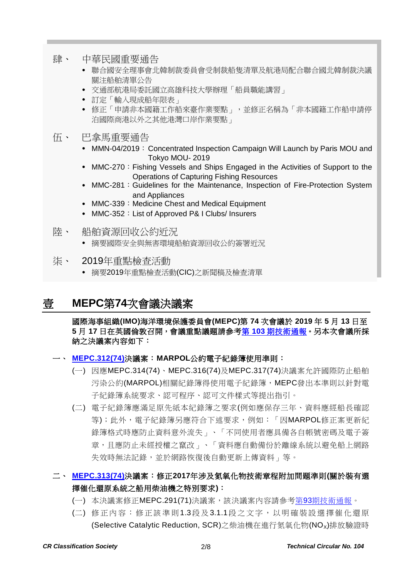- 肆、 中華民國重要通告
	- 聯合國安全理事會北韓制裁委員會受制裁船隻清單及航港局配合聯合國北韓制裁決議 關注船舶清單公告
	- 交通部航港局委託國立高雄科技大學辦理「船員職能講習」
	- 訂定「輸入現成船年限表」
	- 修正「申請非本國籍工作船來臺作業要點」,並修正名稱為「非本國籍工作船申請停 泊國際商港以外之其他港灣口岸作業要點」
- 伍、 巴拿馬重要通告
	- MMN-04/2019: Concentrated Inspection Campaign Will Launch by Paris MOU and Tokyo MOU- 2019
	- MMC-270: Fishing Vessels and Ships Engaged in the Activities of Support to the Operations of Capturing Fishing Resources
	- MMC-281: Guidelines for the Maintenance, Inspection of Fire-Protection System and Appliances
	- MMC-339: Medicine Chest and Medical Equipment
	- MMC-352: List of Approved P& I Clubs/ Insurers
- 陸、 船舶資源回收公約近況
	- 摘要國際安全與無害環境船舶資源回收公約簽署近況
- 柒、 2019年重點檢查活動
	- 摘要2019年重點檢查活動(CIC)之新聞稿及檢查清單

# 壹 **MEPC**第**74**次會議決議案

#### 國際海事組織**(IMO)**海洋環境保護委員會**(MEPC)**第 **74** 次會議於 **2019** 年 **5** 月 **13** 日至 **5** 月 **17** 日在英國倫敦召開,會議重點議題請參考第 **103** [期技術通報。](https://www.crclass.org/chinese/download/ti-tc/103/103.pdf)另本次會議所採 納之決議案內容如下:

#### 一、 **[MEPC.312\(74\)](https://www.crclass.org/chinese/download/ti-tc/104/1-1%20MEPC.312(74).pdf)**決議案:**MARPOL**公約電子紀錄簿使用準則:

- (一) 因應MEPC.314(74)、MEPC.316(74)及MEPC.317(74)決議案允許國際防止船舶 污染公約(MARPOL)相關紀錄簿得使用電子紀錄簿,MEPC發出本準則以針對電 子紀錄簿系統要求、認可程序、認可文件樣式等提出指引。
- (二) 電子紀錄簿應滿足原先紙本紀錄簿之要求(例如應保存三年、資料應經船長確認 等);此外,電子紀錄簿另應符合下述要求,例如:「因MARPOL修正案更新紀 錄簿格式時應防止資料意外流失」、「不同使用者應具備各自帳號密碼及電子簽 章,且應防止未經授權之竄改」、「資料應自動備份於離線系統以避免船上網路 失效時無法記錄,並於網路恢復後自動更新上傳資料」等。

### 二、 **[MEPC.313\(74\)](https://www.crclass.org/chinese/download/ti-tc/104/1-2%20MEPC.313(74).pdf)**決議案:修正**2017**年涉及氮氧化物技術章程附加問題準則**(**關於裝有選 擇催化還原系統之船用柴油機之特別要求**)**:

- (一) 本決議案修正MEPC.291(71)決議案,該決議案內容請參考第93[期技術通報。](https://www.crclass.org/chinese/download/ti-tc/93/93.pdf)
- (二) 修正內容: 修正該準則1.3段及 3.1.1段之文字,以明確裝 設選擇催化還原 (Selective Catalytic Reduction, SCR)之柴油機在進行氮氧化物(NO<sub>x</sub>)排放驗證時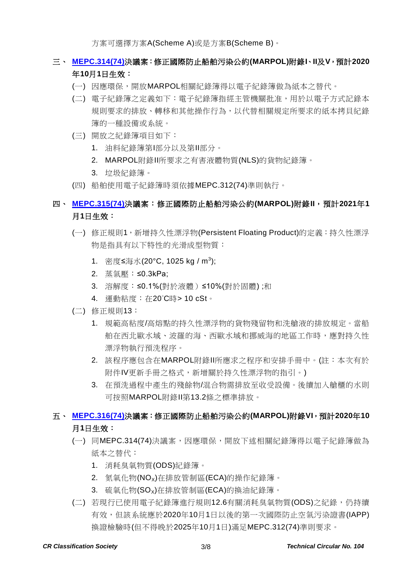方案可選擇方案A(Scheme A)或是方案B(Scheme B)。

### 三、 **[MEPC.314\(74\)](https://www.crclass.org/chinese/download/ti-tc/104/1-3%20MEPC.314(74).pdf)**決議案:修正國際防止船舶污染公約**(MARPOL)**附錄**I**、**II**及**V**,預計**2020** 年**10**月**1**日生效:

- (一) 因應環保,開放MARPOL相關紀錄簿得以電子紀錄簿做為紙本之替代。
- (二) 電子紀錄簿之定義如下:電子紀錄簿指經主管機關批准,用於以電子方式記錄本 規則要求的排放、轉移和其他操作行為,以代替相關規定所要求的紙本拷貝紀錄 簿的一種設備或系統。
- (三) 開放之紀錄簿項目如下:
	- 1. 油料紀錄簿第I部分以及第II部分。
	- 2. MARPOL附錄II所要求之有害液體物質(NLS)的貨物紀錄簿。
	- 3. 垃圾紀錄簿。
- (四) 船舶使用電子紀錄簿時須依據MEPC.312(74)準則執行。

### 四、 **[MEPC.315\(74\)](https://www.crclass.org/chinese/download/ti-tc/104/1-4%20MEPC.315(74).pdf)**決議案:修正國際防止船舶污染公約**(MARPOL)**附錄**II**,預計**2021**年**1** 月**1**日生效:

- (一) 修正規則1,新增持久性漂浮物(Persistent Floating Product)的定義:持久性漂浮 物是指具有以下特性的光滑成型物質:
	- 1. 密度≤海水(20°C, 1025 kg / m<sup>3</sup>);
	- 2. 蒸氣壓:≤0.3kPa;
	- 3. 溶解度:≤0.1%(對於液體)≤10%(對於固體);和
	- 4. 運動粘度:在20°C時> 10 cSt。
- (二) 修正規則13:
	- 1. 規範高粘度/高熔點的持久性漂浮物的貨物殘留物和洗艙液的排放規定。當船 舶在西北歐水域、波羅的海、西歐水域和挪威海的地區工作時,應對持久性 漂浮物執行預洗程序。
	- 2. 該程序應包含在MARPOL附錄II所應求之程序和安排手冊中。(註:本次有於 附件IV更新手冊之格式,新增關於持久性漂浮物的指引。)
	- 3. 在預洗過程中產生的殘餘物/混合物需排放至收受設備。後續加入艙櫃的水則 可按照MARPOL附錄II第13.2條之標準排放。

### 五、 **[MEPC.316\(74\)](https://www.crclass.org/chinese/download/ti-tc/104/1-5%20MEPC.316(74).pdf)**決議案:修正國際防止船舶污染公約**(MARPOL)**附錄**VI**,預計**2020**年**10** 月**1**日生效:

- (一) 同MEPC.314(74)決議案,因應環保,開放下述相關紀錄簿得以電子紀錄簿做為 紙本之替代:
	- 1. 消耗臭氧物質(ODS)紀錄簿。
	- 2. 氮氧化物(NOx)在排放管制區(ECA)的操作紀錄簿。
	- 3. 硫氧化物(SO<sub>x</sub>)在排放管制區(ECA)的換油紀錄簿。
- (二) 若現行已使用電子紀錄簿進行規則12.6有關消耗臭氧物質(ODS)之紀錄,仍持續 有效,但該系統應於2020年10月1日以後的第一次國際防止空氣污染證書(IAPP) 換證檢驗時(但不得晚於2025年10月1日)滿足MEPC.312(74)準則要求。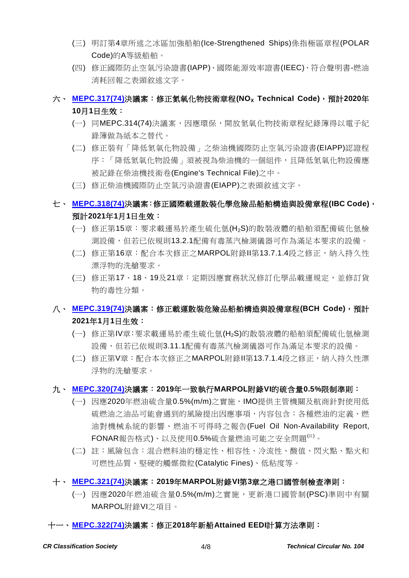- (三) 明訂第4章所述之冰區加強船舶(Ice-Strengthened Ships)係指極區章程(POLAR Code)的A等級船舶。
- (四) 修正國際防止空氣污染證書(IAPP)、國際能源效率證書(IEEC)、符合聲明書-燃油 消耗回報之表頭敘述文字。

# 六、 **[MEPC.317\(74\)](https://www.crclass.org/chinese/download/ti-tc/104/1-6%20MEPC.317(74).pdf)**決議案:修正氮氧化物技術章程**(NOX Technical Code)**,預計**2020**年 **10**月**1**日生效:

- (一) 同MEPC.314(74)決議案,因應環保,開放氮氧化物技術章程紀錄簿得以電子紀 錄簿做為紙本之替代。
- (二) 修正裝有「降低氮氧化物設備」之柴油機國際防止空氣污染證書(EIAPP)認證程 序:「降低氮氧化物設備」須被視為柴油機的一個組件,且降低氮氧化物設備應 被記錄在柴油機技術卷(Engine's Technical File)之中。
- (三) 修正柴油機國際防止空氣污染證書(EIAPP)之表頭敘述文字。

# 七、 **[MEPC.318\(74\)](https://www.crclass.org/chinese/download/ti-tc/104/1-7%20MEPC.318(74).pdf)**決議案:修正國際載運散裝化學危險品船舶構造與設備章程**(IBC Code)**, 預計**2021**年**1**月**1**日生效:

- (一) 修正第15章:要求載運易於產生硫化氫(H2S)的散裝液體的船舶須配備硫化氫檢 測設備,但若已依規則13.2.1配備有毒蒸汽檢測儀器可作為滿足本要求的設備。
- (二) 修正第16章:配合本次修正之MARPOL附錄II第13.7.1.4段之修正,納入持久性 漂浮物的洗艙要求。
- (三) 修正第17、18、19及21章:定期因應實務狀況修訂化學品載運規定,並修訂貨 物的毒性分類。

### 八、 **[MEPC.319\(74\)](https://www.crclass.org/chinese/download/ti-tc/104/1-8%20MEPC.319(74).pdf)**決議案:修正載運散裝危險品船舶構造與設備章程**(BCH Code)**,預計 **2021**年**1**月**1**日生效:

- (一) 修正第IV章:要求載運易於產生硫化氫(H2S)的散裝液體的船舶須配備硫化氫檢測 設備,但若已依規則3.11.1配備有毒蒸汽檢測儀器可作為滿足本要求的設備。
- (二) 修正第V章: 配合本次修正之MARPOL附錄II第13.7.1.4段之修正, 納入持久性漂 浮物的洗艙要求。

#### 九、 **[MEPC.320\(74\)](https://www.crclass.org/chinese/download/ti-tc/104/1-9%20MEPC.320(74).pdf)**決議案:**2019**年一致執行**MARPOL**附錄**VI**的硫含量**0.5%**限制準則:

- (一) 因應2020年燃油硫含量0.5%(m/m)之實施,IMO提供主管機關及航商針對使用低 硫燃油之油品可能會遇到的風險提出因應事項,內容包含:各種燃油的定義、燃 油對機械系統的影響、燃油不可得時之報告(Fuel Oil Non-Availability Report, FONAR報告格式)、以及使用0.5%硫含量燃油可能之安全問題( $^{\rm (ii)}$ 。
- (二) 註:風險包含:混合燃料油的穩定性、相容性、冷流性、酸值、閃火點、點火和 可燃性品質、堅硬的觸媒微粒(Catalytic Fines)、低粘度等。

#### 十、 **[MEPC.321\(74\)](https://www.crclass.org/chinese/download/ti-tc/104/1-10%20MEPC.321(74).pdf)**決議案:**2019**年**MARPOL**附錄**VI**第**3**章之港口國管制檢查準則:

(一) 因應2020年燃油硫含量0.5%(m/m)之實施,更新港口國管制(PSC)準則中有關 MARPOL附錄VI之項目。

#### 十一、 **[MEPC.322\(74\)](https://www.crclass.org/chinese/download/ti-tc/104/1-11%20MEPC.322(74).pdf)**決議案:修正**2018**年新船**Attained EEDI**計算方法準則: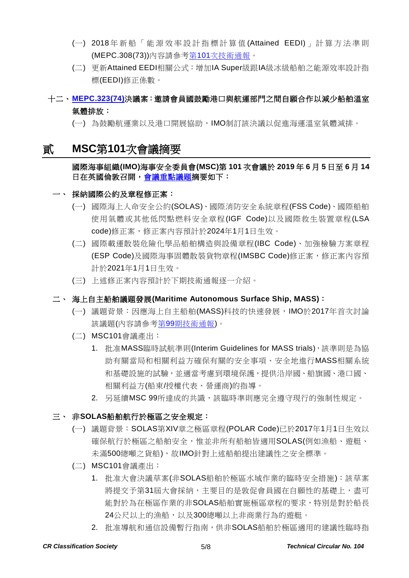- (一) 2018 年 新 船 「 能源效率設計指標 計算值 (Attained EEDI) 」 計算方法準 則 (MEPC.308(73))內容請參考第101[次技術通報。](https://www.crclass.org/chinese/download/ti-tc/101/101.pdf)
- (二) 更新Attained EEDI相關公式:增加IA Super級跟IA級冰級船舶之能源效率設計指 標(EEDI)修正係數。

# 十二、 **[MEPC.323\(74\)](https://www.crclass.org/chinese/download/ti-tc/104/1-12%20MEPC.323(74).pdf)**決議案:邀請會員國鼓勵港口與航運部門之間自願合作以減少船舶溫室 氣體排放:

(一) 為鼓勵航運業以及港口開展協助,IMO制訂該決議以促進海運溫室氣體減排。

# 貳 **MSC**第**101**次會議摘要

#### 國際海事組織**(IMO)**海事安全委員會**(MSC)**第 **101** 次會議於 **2019** 年 **6** 月 **5** 日至 **6** 月 **14** 日在英國倫敦召開[,會議重點議題摘](http://www.imo.org/en/MediaCentre/MeetingSummaries/MSC/Pages/MSC-101st-session.aspx)要如下:

- 一、 採納國際公約及章程修正案:
	- (一) 國際海上人命安全公約(SOLAS)、國際消防安全系統章程(FSS Code)、國際船舶 使用氣體或其他低閃點燃料安全章程(IGF Code)以及國際救生裝置章程(LSA code)修正案,修正案內容預計於2024年1月1日生效。
	- (二) 國際載運散裝危險化學品船舶構造與設備章程(IBC Code)、加強檢驗方案章程 (ESP Code)及國際海事固體散裝貨物章程(IMSBC Code)修正案,修正案內容預 計於2021年1月1日生效。
	- (三) 上述修正案內容預計於下期技術通報逐一介紹。

#### 二、 海上自主船舶議題發展**(Maritime Autonomous Surface Ship, MASS)**:

- (一) 議題背景:因應海上自主船舶(MASS)科技的快速發展,IMO於2017年首次討論 該議題(內容請參考第99[期技術通報](https://www.crclass.org/chinese/download/ti-tc/99/99.pdf))。
- (二) MSC101會議產出:
	- 1. 批准MASS臨時試航準則(Interim Guidelines for MASS trials),該準則是為協 助有關當局和相關利益方確保有關的安全事項、安全地進行MASS相關系統 和基礎設施的試驗,並適當考慮到環境保護,提供沿岸國、船旗國、港口國、 相關利益方(船東/授權代表、營運商)的指導。
	- 2. 另延續MSC 99所達成的共識,該臨時準則應完全遵守現行的強制性規定。

#### 三、 非**SOLAS**船舶航行於極區之安全規定:

- (一) 議題背景:SOLAS第XIV章之極區章程(POLAR Code)已於2017年1月1日生效以 確保航行於極區之船舶安全,惟並非所有船舶皆適用SOLAS(例如漁船、遊艇、 未滿500總噸之貨船),故IMO針對上述船舶提出建議性之安全標準。
- (二) MSC101會議產出:
	- 1. 批准大會決議草案(非SOLAS船舶於極區水域作業的臨時安全措施):該草案 將提交予第31屆大會採納,主要目的是敦促會員國在自願性的基礎上,盡可 能對於為在極區作業的非SOLAS船舶實施極區章程的要求,特別是對於船長 24公尺以上的漁船,以及300總噸以上非商業行為的遊艇。
	- 2. 批准導航和通信設備暫行指南,供非SOLAS船舶於極區適用的建議性臨時指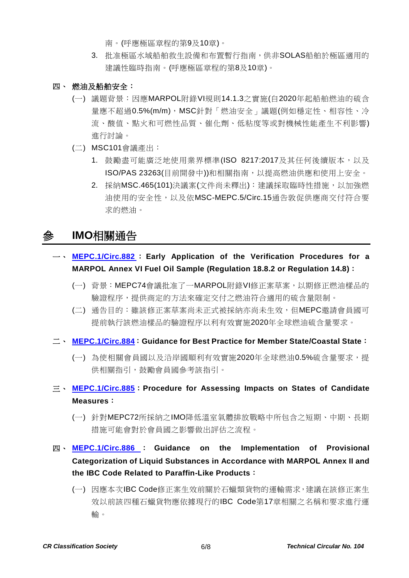- 南。(呼應極區章程的第9及10章)。
- 3. 批准極區水域船舶救生設備和布置暫行指南,供非SOLAS船舶於極區適用的 建議性臨時指南。(呼應極區章程的第8及10章)。
- 四、 燃油及船舶安全:
	- (一) 議題背景:因應MARPOL附錄VI規則14.1.3之實施(自2020年起船舶燃油的硫含 量應不超過0.5%(m/m), MSC針對「燃油安全」議題(例如穩定性、相容性、冷 流、酸值、點火和可燃性品質、催化劑、低粘度等或對機械性能產生不利影響) 進行討論。
	- (二) MSC101會議產出:
		- 1. 鼓勵盡可能廣泛地使用業界標準(ISO 8217:2017及其任何後續版本,以及 ISO/PAS 23263(目前開發中))和相關指南,以提高燃油供應和使用上安全。
		- 2. 採納MSC.465(101)決議案(文件尚未釋出):建議採取臨時性措施,以加強燃 油使用的安全性,以及依MSC-MEPC.5/Circ.15通告敦促供應商交付符合要 求的燃油。

# 參 **IMO**相關通告

- 一、 **[MEPC.1/Circ.882](https://www.crclass.org/chinese/download/ti-tc/104/3-1%20MEPC.1-Circ.882%20-%20Early%20Application%20Of%20The%20Verification%20Procedures%20For%20AMarpol%20Annex%20Vi%20Fuel%20Oil%20Sample(Regu...%20(Secretariat)%20(1).pdf)** : **Early Application of the Verification Procedures for a MARPOL Annex VI Fuel Oil Sample (Regulation 18.8.2 or Regulation 14.8)**:
	- (一) 背景:MEPC74會議批准了一MARPOL附錄VI修正案草案,以期修正燃油樣品的 驗證程序,提供商定的方法來確定交付之燃油符合適用的硫含量限制。
	- (二) 通告目的:雖該修正案草案尚未正式被採納亦尚未生效,但MEPC邀請會員國可 提前執行該燃油樣品的驗證程序以利有效實施2020年全球燃油硫含量要求。
- 二、 **[MEPC.1/Circ.884](https://www.crclass.org/chinese/download/ti-tc/104/3-2%20MEPC.1-Circ.884%20-%20Guidance%20For%20Best%20Practice%20For%20Member%20StateCoastal%20State%20(Secretariat).pdf)**:**Guidance for Best Practice for Member State/Coastal State**:
	- (一) 為使相關會員國以及沿岸國順利有效實施2020年全球燃油0.5%硫含量要求,提 供相關指引,鼓勵會員國參考該指引。
- 三、 **[MEPC.1/Circ.885](https://www.crclass.org/chinese/download/ti-tc/104/3-3%20MEPC.1-Circ.885%20-%20Procedure%20For%20Assessing%20Impacts%20On%20States%20Of%20Candidate%20Measures%20(Secretariat).pdf)**:**Procedure for Assessing Impacts on States of Candidate Measures**:
	- (一) 針對MEPC72所採納之IMO降低溫室氣體排放戰略中所包含之短期、中期、長期 措施可能會對於會員國之影響做出評估之流程。
- 四、 **[MEPC.1/Circ.886](https://www.crclass.org/chinese/download/ti-tc/104/3-4%20MEPC.1-Circ.886%20-%20Guidance%20On%20The%20Implementation%20Of%20Provisional%20Categorization%20Of%20Liquid%20Substances%20In%20Accor...%20(Secretariat).pdf)** : **Guidance on the Implementation of Provisional Categorization of Liquid Substances in Accordance with MARPOL Annex II and the IBC Code Related to Paraffin-Like Products**:
	- (一) 因應本次IBC Code修正案生效前關於石蠟類貨物的運輸需求,建議在該修正案生 效以前該四種石蠟貨物應依據現行的IBC Code第17章相關之名稱和要求進行運 輸。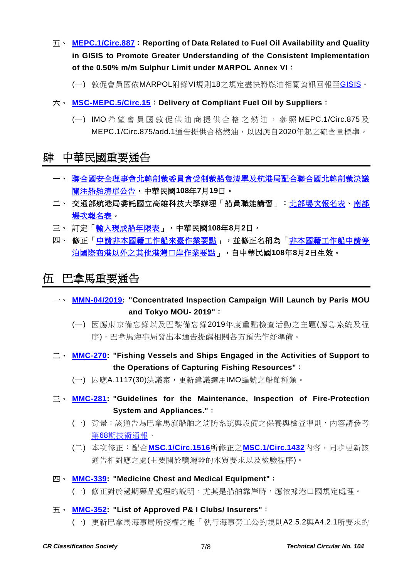- 五、 **[MEPC.1/Circ.887](https://www.crclass.org/chinese/download/ti-tc/104/3-5%20MEPC.1-Circ.887%20-%20Reporting%20Of%20Data%20Related%20To%20Fuel%20Oil%20Availability%20And%20Quality%20In%20Gisis%20To%20Promote%20Greater...%20(Secretariat).pdf)**:**Reporting of Data Related to Fuel Oil Availability and Quality in GISIS to Promote Greater Understanding of the Consistent Implementation of the 0.50% m/m Sulphur Limit under MARPOL Annex VI**:
	- (一) 敦促會員國依MARPOL附錄VI規則18之規定盡快將燃油相關資訊回報至[GISIS](https://gisis.imo.org/)。
- 六、 **[MSC-MEPC.5/Circ.15](https://www.crclass.org/chinese/download/ti-tc/104/3-6%20MSC-MEPC.5-CIRC.15%20-%20Delivery%20Of%20Compliant%20Fuel%20Oil%20By%20Suppliers%20(Secretariat).pdf)**:**Delivery of Compliant Fuel Oil by Suppliers**:
	- (一) IMO 希望會員國 敦促供油商提供合格之燃油 , 參 照 MEPC.1/Circ.875 及 MEPC.1/Circ.875/add.1通告提供合格燃油,以因應自2020年起之硫含量標準。

# 肆 中華民國重要通告

- 一、 [聯合國安全理事會北韓制裁委員會受制裁船隻清單及航港局配合聯合國北韓制裁決議](https://www.motcmpb.gov.tw/Information/Detail/cfc09406-61f5-4462-a7ee-4bb3de2fdab0?SiteId=1&NodeId=103) [關注船舶清單公告,](https://www.motcmpb.gov.tw/Information/Detail/cfc09406-61f5-4462-a7ee-4bb3de2fdab0?SiteId=1&NodeId=103)中華民國**108**年**7**月**19**日。
- 二、 交通部航港局委託國立高雄科技大學辦理「船員職能講習」: 北部場次報名表、[南部](https://www.motcmpb.gov.tw/DownloadFile/Detail/10c3bbf0-1501-4070-959a-ebc20fff3246?SiteId=1&NodeId=83) [場次報名表。](https://www.motcmpb.gov.tw/DownloadFile/Detail/10c3bbf0-1501-4070-959a-ebc20fff3246?SiteId=1&NodeId=83)
- 三、 訂定[「輸入現成船年限表」](https://gazette.nat.gov.tw/egFront/detail.do?metaid=109046&log=detailLog),中華民國**108**年**8**月**2**日。
- 四、 修正[「申請非本國籍工作船來臺作業要點」](https://gazette.nat.gov.tw/egFront/detail.do?metaid=109058&log=detailLog),並修正名稱為[「非本國籍工作船申請停](https://gazette.nat.gov.tw/egFront/detail.do?metaid=109058&log=detailLog) [泊國際商港以外之其他港灣口岸作業要點」](https://gazette.nat.gov.tw/egFront/detail.do?metaid=109058&log=detailLog),自中華民國**108**年**8**月**2**日生效。

# 伍 巴拿馬重要通告

- 一、 **[MMN-04/2019:](https://www.crclass.org/chinese/download/ti-tc/104/5-1%20MMN-04-2019-CONCENTRATED-INSPECTION-CAMPAIGN-CIC-WILL-LAUNCH-BY-PARIS-MoU-AND-TOKYO-MoU-2019-1.pdf) "Concentrated Inspection Campaign Will Launch by Paris MOU and Tokyo MOU- 2019"**:
	- (一) 因應東京備忘錄以及巴黎備忘錄2019年度重點檢查活動之主題(應急系統及程 序),巴拿馬海事局發出本通告提醒相關各方預先作好準備。
- 二、 **[MMC-270:](https://www.crclass.org/chinese/download/ti-tc/104/5-2%20MMC-270-26-06-2019-Fishing-Vessels.pdf) "Fishing Vessels and Ships Engaged in the Activities of Support to the Operations of Capturing Fishing Resources"**:

(一) 因應A.1117(30)決議案,更新建議適用IMO編號之船舶種類。

- 三、 **[MMC-281:](https://www.crclass.org/chinese/download/ti-tc/104/5-3%20MMC-281-GUIDELINES-FOR-THE-MAINTENANCE-INSPECTION-OF-FIRE-PROTECTION-SYSTEN-AND-APPLIANCES-01-August-2019-3-1.pdf) "Guidelines for the Maintenance, Inspection of Fire-Protection System and Appliances."**:
	- (一) 背景:該通告為巴拿馬旗船舶之消防系統與設備之保養與檢查準則,內容請參考 第68[期技術通報。](https://www.crclass.org/chinese/download/ti-tc/68/68.pdf)
	- (二) 本次修正:配合**[MSC.1/Circ.1516](https://www.crclass.org/chinese/download/ti-tc/104/5-4%20MSC.1-Circ.1516%20-%20Amendments%20To%20The%20Revised%20Guidelines%20For%20The%20Maintenance%20And%20Inspection%20Of%20Fire%20Protection...%20(Secretariat).pdf)**所修正之**[MSC.1/Circ.1432](https://www.crclass.org/chinese/download/ti-tc/104/5-5%20MSC.1-Circ.1432%20-%20Revised%20Guidelines%20For%20The%20Maintenance%20And%20Inspection%20Of%20Fire%20Protection%20Systems%20And%20Appli...%20(Secretariat).pdf)**內容,同步更新該 通告相對應之處(主要關於噴灑器的水質要求以及檢驗程序)。
- 四、 **[MMC-339:](https://www.crclass.org/chinese/download/ti-tc/104/5-6%20MMC-339.pdf) "Medicine Chest and Medical Equipment"**:
	- (一) 修正對於過期藥品處理的說明,尤其是船舶靠岸時,應依據港口國規定處理。
- 五、 **[MMC-352:](https://www.crclass.org/chinese/download/ti-tc/104/5-7%20MMC-352-19-JULY-2019-1.pdf) "List of Approved P& I Clubs/ Insurers"**:

(一) 更新巴拿馬海事局所授權之能「執行海事勞工公約規則A2.5.2與A4.2.1所要求的